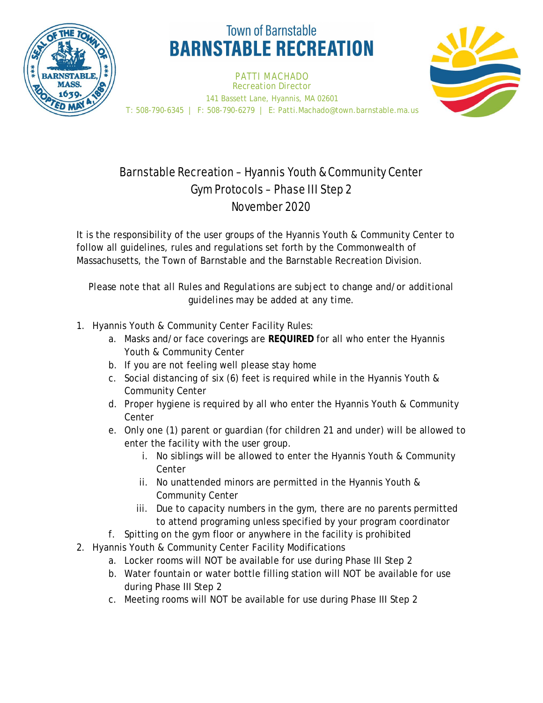

## **Town of Barnstable BARNSTABLE RECREATION**

PATTI MACHADO *Recreation Director* 141 Bassett Lane, Hyannis, MA 02601 T: 508-790-6345 | F: 508-790-6279 | E: Patti.Machado@town.barnstable.ma.us



## Barnstable Recreation – Hyannis Youth & Community Center Gym Protocols – Phase III Step 2 November 2020

It is the responsibility of the user groups of the Hyannis Youth & Community Center to follow all guidelines, rules and regulations set forth by the Commonwealth of Massachusetts, the Town of Barnstable and the Barnstable Recreation Division.

## *Please note that all Rules and Regulations are subject to change and/or additional guidelines may be added at any time.*

- 1. Hyannis Youth & Community Center Facility Rules:
	- a. Masks and/or face coverings are **REQUIRED** for all who enter the Hyannis Youth & Community Center
	- b. If you are not feeling well please stay home
	- c. Social distancing of six (6) feet is required while in the Hyannis Youth & Community Center
	- d. Proper hygiene is required by all who enter the Hyannis Youth & Community Center
	- e. Only one (1) parent or guardian (for children 21 and under) will be allowed to enter the facility with the user group.
		- i. No siblings will be allowed to enter the Hyannis Youth & Community **Center**
		- ii. No unattended minors are permitted in the Hyannis Youth & Community Center
		- iii. Due to capacity numbers in the gym, there are no parents permitted to attend programing unless specified by your program coordinator
	- f. Spitting on the gym floor or anywhere in the facility is prohibited
- 2. Hyannis Youth & Community Center Facility Modifications
	- a. Locker rooms will NOT be available for use during Phase III Step 2
	- b. Water fountain or water bottle filling station will NOT be available for use during Phase III Step 2
	- c. Meeting rooms will NOT be available for use during Phase III Step 2